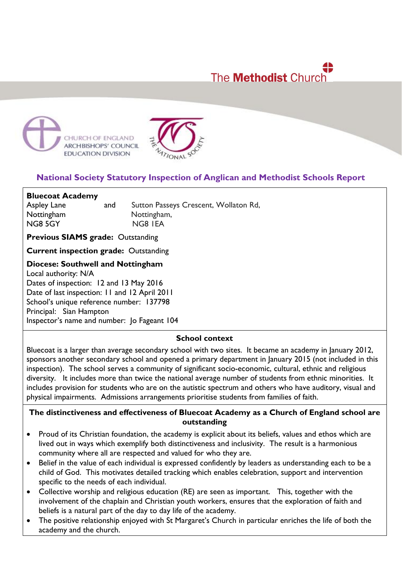# 4Þ The **Methodist** Church





# **National Society Statutory Inspection of Anglican and Methodist Schools Report**

**Bluecoat Academy** Aspley Lane and Sutton Passeys Crescent, Wollaton Rd, Nottingham Nottingham, NG8 5GY NG8 IEA

**Previous SIAMS grade:** Outstanding

**Current inspection grade:** Outstanding

**Diocese: Southwell and Nottingham**

Local authority: N/A Dates of inspection: 12 and 13 May 2016 Date of last inspection: 11 and 12 April 2011 School's unique reference number: 137798 Principal: Sian Hampton Inspector's name and number: Jo Fageant 104

#### **School context**

Bluecoat is a larger than average secondary school with two sites. It became an academy in January 2012, sponsors another secondary school and opened a primary department in January 2015 (not included in this inspection). The school serves a community of significant socio-economic, cultural, ethnic and religious diversity. It includes more than twice the national average number of students from ethnic minorities. It includes provision for students who are on the autistic spectrum and others who have auditory, visual and physical impairments. Admissions arrangements prioritise students from families of faith.

# **The distinctiveness and effectiveness of Bluecoat Academy as a Church of England school are outstanding**

- Proud of its Christian foundation, the academy is explicit about its beliefs, values and ethos which are lived out in ways which exemplify both distinctiveness and inclusivity. The result is a harmonious community where all are respected and valued for who they are.
- Belief in the value of each individual is expressed confidently by leaders as understanding each to be a child of God. This motivates detailed tracking which enables celebration, support and intervention specific to the needs of each individual.
- Collective worship and religious education (RE) are seen as important. This, together with the involvement of the chaplain and Christian youth workers, ensures that the exploration of faith and beliefs is a natural part of the day to day life of the academy.
- The positive relationship enjoyed with St Margaret's Church in particular enriches the life of both the academy and the church.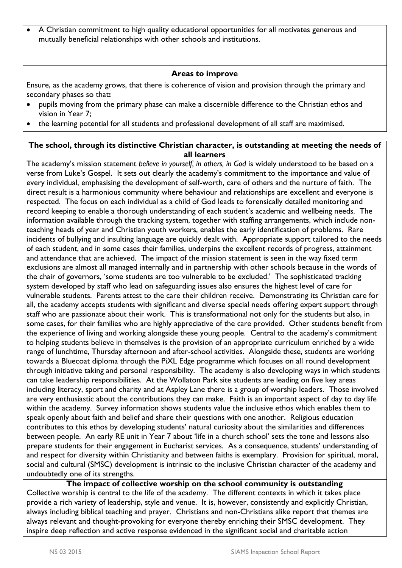A Christian commitment to high quality educational opportunities for all motivates generous and mutually beneficial relationships with other schools and institutions.

#### **Areas to improve**

Ensure, as the academy grows, that there is coherence of vision and provision through the primary and secondary phases so that**:**

- pupils moving from the primary phase can make a discernible difference to the Christian ethos and vision in Year 7;
- the learning potential for all students and professional development of all staff are maximised.

# **The school, through its distinctive Christian character, is outstanding at meeting the needs of all learners**

The academy's mission statement *believe in yourself, in others, in God* is widely understood to be based on a verse from Luke's Gospel. It sets out clearly the academy's commitment to the importance and value of every individual, emphasising the development of self-worth, care of others and the nurture of faith. The direct result is a harmonious community where behaviour and relationships are excellent and everyone is respected. The focus on each individual as a child of God leads to forensically detailed monitoring and record keeping to enable a thorough understanding of each student's academic and wellbeing needs. The information available through the tracking system, together with staffing arrangements, which include nonteaching heads of year and Christian youth workers, enables the early identification of problems. Rare incidents of bullying and insulting language are quickly dealt with. Appropriate support tailored to the needs of each student, and in some cases their families, underpins the excellent records of progress, attainment and attendance that are achieved. The impact of the mission statement is seen in the way fixed term exclusions are almost all managed internally and in partnership with other schools because in the words of the chair of governors, 'some students are too vulnerable to be excluded.' The sophisticated tracking system developed by staff who lead on safeguarding issues also ensures the highest level of care for vulnerable students. Parents attest to the care their children receive. Demonstrating its Christian care for all, the academy accepts students with significant and diverse special needs offering expert support through staff who are passionate about their work. This is transformational not only for the students but also, in some cases, for their families who are highly appreciative of the care provided. Other students benefit from the experience of living and working alongside these young people. Central to the academy's commitment to helping students believe in themselves is the provision of an appropriate curriculum enriched by a wide range of lunchtime, Thursday afternoon and after-school activities. Alongside these, students are working towards a Bluecoat diploma through the PiXL Edge programme which focuses on all round development through initiative taking and personal responsibility. The academy is also developing ways in which students can take leadership responsibilities. At the Wollaton Park site students are leading on five key areas including literacy, sport and charity and at Aspley Lane there is a group of worship leaders. Those involved are very enthusiastic about the contributions they can make. Faith is an important aspect of day to day life within the academy. Survey information shows students value the inclusive ethos which enables them to speak openly about faith and belief and share their questions with one another. Religious education contributes to this ethos by developing students' natural curiosity about the similarities and differences between people. An early RE unit in Year 7 about 'life in a church school' sets the tone and lessons also prepare students for their engagement in Eucharist services. As a consequence, students' understanding of and respect for diversity within Christianity and between faiths is exemplary. Provision for spiritual, moral, social and cultural (SMSC) development is intrinsic to the inclusive Christian character of the academy and undoubtedly one of its strengths.

**The impact of collective worship on the school community is outstanding** Collective worship is central to the life of the academy. The different contexts in which it takes place provide a rich variety of leadership, style and venue. It is, however, consistently and explicitly Christian, always including biblical teaching and prayer. Christians and non-Christians alike report that themes are always relevant and thought-provoking for everyone thereby enriching their SMSC development. They inspire deep reflection and active response evidenced in the significant social and charitable action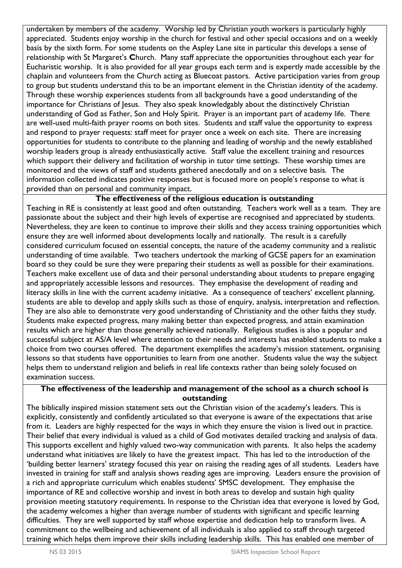undertaken by members of the academy. Worship led by Christian youth workers is particularly highly appreciated. Students enjoy worship in the church for festival and other special occasions and on a weekly basis by the sixth form. For some students on the Aspley Lane site in particular this develops a sense of relationship with St Margaret's **C**hurch. Many staff appreciate the opportunities throughout each year for Eucharistic worship. It is also provided for all year groups each term and is expertly made accessible by the chaplain and volunteers from the Church acting as Bluecoat pastors. Active participation varies from group to group but students understand this to be an important element in the Christian identity of the academy. Through these worship experiences students from all backgrounds have a good understanding of the importance for Christians of Jesus. They also speak knowledgably about the distinctively Christian understanding of God as Father, Son and Holy Spirit. Prayer is an important part of academy life. There are well-used multi-faith prayer rooms on both sites. Students and staff value the opportunity to express and respond to prayer requests: staff meet for prayer once a week on each site. There are increasing opportunities for students to contribute to the planning and leading of worship and the newly established worship leaders group is already enthusiastically active. Staff value the excellent training and resources which support their delivery and facilitation of worship in tutor time settings. These worship times are monitored and the views of staff and students gathered anecdotally and on a selective basis. The information collected indicates positive responses but is focused more on people's response to what is provided than on personal and community impact.

## **The effectiveness of the religious education is outstanding**

Teaching in RE is consistently at least good and often outstanding. Teachers work well as a team. They are passionate about the subject and their high levels of expertise are recognised and appreciated by students. Nevertheless, they are keen to continue to improve their skills and they access training opportunities which ensure they are well informed about developments locally and nationally. The result is a carefully considered curriculum focused on essential concepts, the nature of the academy community and a realistic understanding of time available. Two teachers undertook the marking of GCSE papers for an examination board so they could be sure they were preparing their students as well as possible for their examinations. Teachers make excellent use of data and their personal understanding about students to prepare engaging and appropriately accessible lessons and resources. They emphasise the development of reading and literacy skills in line with the current academy initiative. As a consequence of teachers' excellent planning, students are able to develop and apply skills such as those of enquiry, analysis, interpretation and reflection. They are also able to demonstrate very good understanding of Christianity and the other faiths they study. Students make expected progress, many making better than expected progress, and attain examination results which are higher than those generally achieved nationally. Religious studies is also a popular and successful subject at AS/A level where attention to their needs and interests has enabled students to make a choice from two courses offered. The department exemplifies the academy's mission statement, organising lessons so that students have opportunities to learn from one another. Students value the way the subject helps them to understand religion and beliefs in real life contexts rather than being solely focused on examination success.

# **The effectiveness of the leadership and management of the school as a church school is outstanding**

The biblically inspired mission statement sets out the Christian vision of the academy's leaders. This is explicitly, consistently and confidently articulated so that everyone is aware of the expectations that arise from it. Leaders are highly respected for the ways in which they ensure the vision is lived out in practice. Their belief that every individual is valued as a child of God motivates detailed tracking and analysis of data. This supports excellent and highly valued two-way communication with parents. It also helps the academy understand what initiatives are likely to have the greatest impact. This has led to the introduction of the 'building better learners' strategy focused this year on raising the reading ages of all students. Leaders have invested in training for staff and analysis shows reading ages are improving. Leaders ensure the provision of a rich and appropriate curriculum which enables students' SMSC development. They emphasise the importance of RE and collective worship and invest in both areas to develop and sustain high quality provision meeting statutory requirements. In response to the Christian idea that everyone is loved by God, the academy welcomes a higher than average number of students with significant and specific learning difficulties. They are well supported by staff whose expertise and dedication help to transform lives. A commitment to the wellbeing and achievement of all individuals is also applied to staff through targeted training which helps them improve their skills including leadership skills. This has enabled one member of